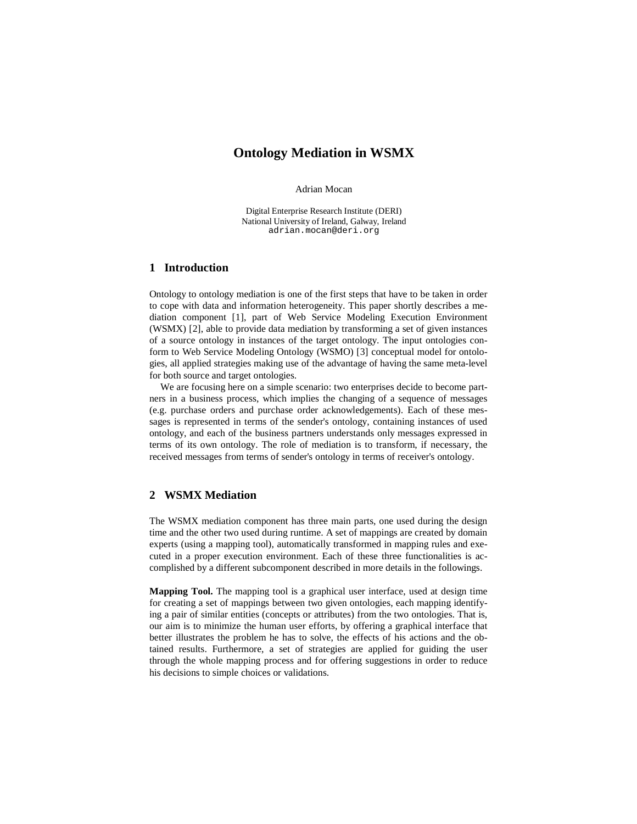# **Ontology Mediation in WSMX**

Adrian Mocan

Digital Enterprise Research Institute (DERI) National University of Ireland, Galway, Ireland adrian.mocan@deri.org

#### **1 Introduction**

Ontology to ontology mediation is one of the first steps that have to be taken in order to cope with data and information heterogeneity. This paper shortly describes a mediation component [1], part of Web Service Modeling Execution Environment (WSMX) [2], able to provide data mediation by transforming a set of given instances of a source ontology in instances of the target ontology. The input ontologies conform to Web Service Modeling Ontology (WSMO) [3] conceptual model for ontologies, all applied strategies making use of the advantage of having the same meta-level for both source and target ontologies.

We are focusing here on a simple scenario: two enterprises decide to become partners in a business process, which implies the changing of a sequence of messages (e.g. purchase orders and purchase order acknowledgements). Each of these messages is represented in terms of the sender's ontology, containing instances of used ontology, and each of the business partners understands only messages expressed in terms of its own ontology. The role of mediation is to transform, if necessary, the received messages from terms of sender's ontology in terms of receiver's ontology.

## **2 WSMX Mediation**

The WSMX mediation component has three main parts, one used during the design time and the other two used during runtime. A set of mappings are created by domain experts (using a mapping tool), automatically transformed in mapping rules and executed in a proper execution environment. Each of these three functionalities is accomplished by a different subcomponent described in more details in the followings.

**Mapping Tool.** The mapping tool is a graphical user interface, used at design time for creating a set of mappings between two given ontologies, each mapping identifying a pair of similar entities (concepts or attributes) from the two ontologies. That is, our aim is to minimize the human user efforts, by offering a graphical interface that better illustrates the problem he has to solve, the effects of his actions and the obtained results. Furthermore, a set of strategies are applied for guiding the user through the whole mapping process and for offering suggestions in order to reduce his decisions to simple choices or validations.